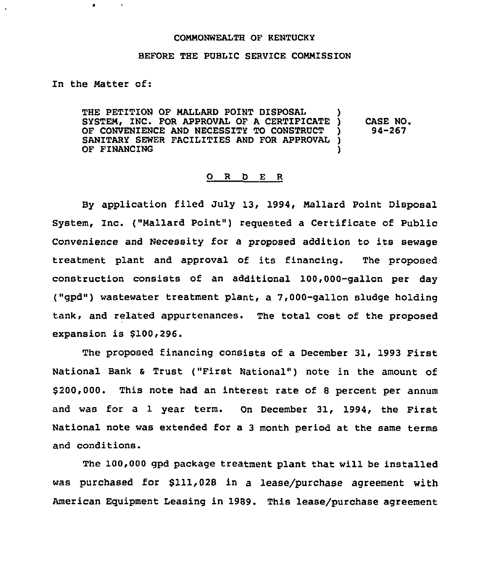## COMMONWEALTH OF KENTUCKY

## BEFORE THE PUBLIC SERVICE COMMISSION

In the Matter of:

THE PETITION OF MALLARD POINT DISPOSAL SYSTEM, INC. FOR APPROVAL OF A CERTIFICATE )<br>OF CONVENIENCE AND NECESSITY TO CONSTRUCT ) OF CONVENIENCE AND NECESSITY TO CONSTRUCT SANITARY SEWER FACILITIES AND FOR APPROVAL )<br>OF FINANCING OF FINANCING CASE NO. 94-267

## 0 R <sup>D</sup> E <sup>R</sup>

By application filed July 13, 1994, Mallard Point Disposal System, Inc. ("Mallard Point") requested a Certificate of Public Convenience and Necessity for <sup>a</sup> proposed addition to its sewage treatment plant and approval of its financing. The proposed construction consists of an additional 100,000-gallon per day ("gpd") wastewater treatment plant, a 7,000-gallon sludge holding tank, and related appurtenances. The total cost of the proposed expansion is 8100,296.

The proposed financing consists of a December 31, 1993 First National Bank & Trust ("First National") note in the amount of 8200,000. This note had an interest rate of 8 percent per annum and was for a 1 year term. On December 31, 1994, the First National note was extended for a 3 month period at the same terms and conditions.

The 100,000 gpd package treatment plant that will be installed was purchased for \$111,028 in a lease/purchase agreement with American Equipment Leasing in 1989. This lease/purchase agreement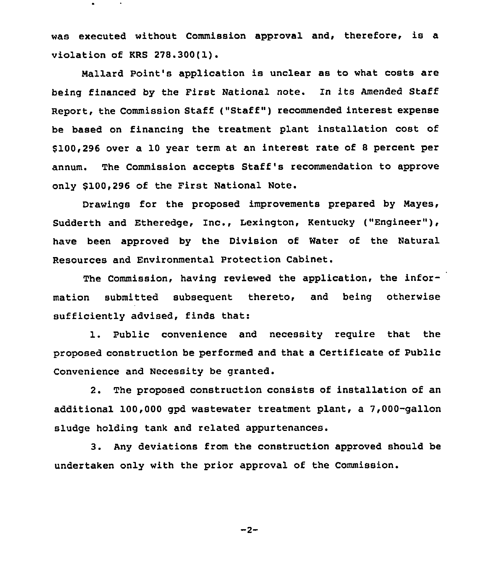was executed without Commission approval and, therefore, is a violation of KRS 278.300(1).

Mallard Point's application is unclear as to what costs are being financed by the First National note. In its Amended Staff Report, the Commission Staff ("Staff" ) recommended interest expense be based on financing the treatment plant installation cost of \$ 100,296 over a 10 year term at an interest rate of <sup>8</sup> percent per annum. The Commission accepts Staff's recommendation to approve only \$100,296 of the First National Note.

Drawings for the proposed improvements prepared by Nayes, Sudderth and Etheredge, Inc., Lexington, Kentucky ("Engineer"), have been approved by the Division of Water of the Natural Resources and Environmental Protection Cabinet.

The Commission, having reviewed the application, the information submitted subsequent thereto, and being otherwise sufficiently advised, finds that:

1. Public convenience and necessity require that the proposed construction be performed and that a Certificate of Public Convenience and Necessity be granted.

2. The proposed construction consists of installation of an additional 100,000 gpd wastewater treatment plant, a 7,000-gallon sludge holding tank and related appurtenances.

3. Any deviations from the construction approved should be undertaken only with the prior approval of the Commission.

$$
-2-
$$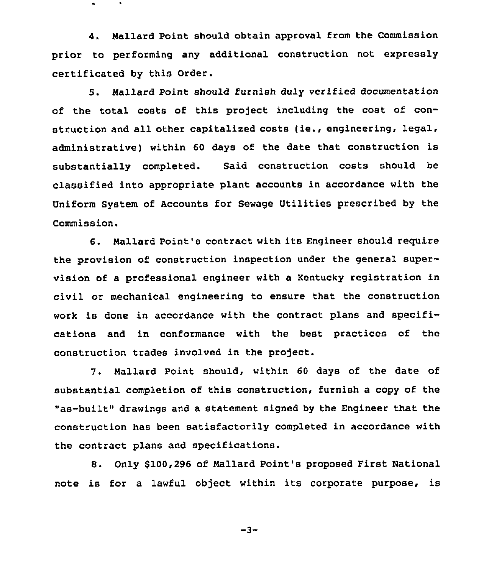4. Mallard Point should obtain approval from the Commission prior to performing any additional construction not expressly certificated by this Order.

5. Mallard Point should furnish duly verified documentation of the total costs of this project including the cost of construction and all other capitalized costs (ie., engineering, legal, administrative) within <sup>60</sup> days of the date that construction is substantially completed. Said construction costs should be classified into appropriate plant accounts in accordance with the Uniform System of Accounts for Sewage Utilities prescribed by the Commission.

6. mallard Point's contract with its Engineer should require the provision of construction inspection under the general supervision of a professional engineer with a Kentucky registration in civil or mechanical engineering to ensure that the construction work is done in accordance with the contract plans and specifications and in conformance with the best practices of the construction trades involved in the project.

7. Mallard Point should, within <sup>60</sup> days of the date of substantial completion of this construction, furnish a copy of the "as-built" drawings and a statement signed by the Engineer that the construction has been satisfactorily completed in accordance with the contract plans and specifications.

8. Only \$100,296 of Nallard Point's proposed First National note is for a lawful object within its corporate purpose, is

-3-